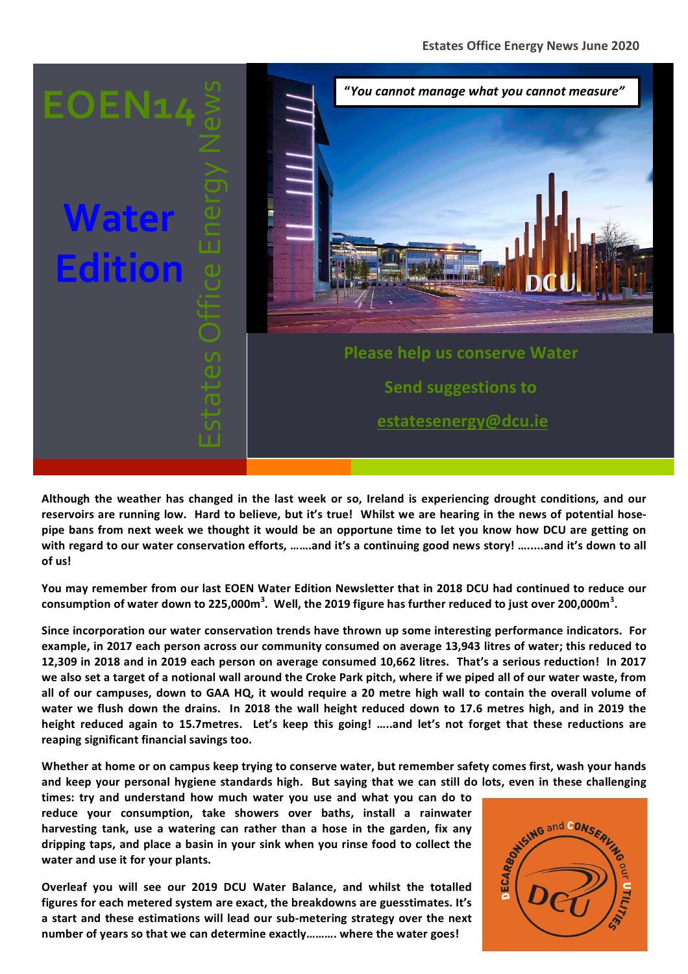

Although the weather has changed in the last week or so, Ireland is experiencing drought conditions, and our reservoirs are running low. Hard to believe, but it's true! Whilst we are hearing in the news of potential hosepipe bans from next week we thought it would be an opportune time to let you know how DCU are getting on with regard to our water conservation efforts, …….and it's a continuing good news story! ……..and it's down to all **of us!**

You may remember from our last EOEN Water Edition Newsletter that in 2018 DCU had continued to reduce our  $\,$  consumption of water down to 225,000m $^3$ . Well, the 2019 figure has further reduced to just over 200,000m $^3$ .

**Since incorporation our water conservation trends have thrown up some interesting performance indicators. For** example, in 2017 each person across our community consumed on average 13,943 litres of water; this reduced to **12,309** in 2018 and in 2019 each person on average consumed 10,662 litres. That's a serious reduction! In 2017 we also set a target of a notional wall around the Croke Park pitch, where if we piped all of our water waste, from all of our campuses, down to GAA HQ, it would require a 20 metre high wall to contain the overall volume of water we flush down the drains. In 2018 the wall height reduced down to 17.6 metres high, and in 2019 the height reduced again to 15.7metres. Let's keep this going! .....and let's not forget that these reductions are **reaping significant financial savings too.**

Whether at home or on campus keep trying to conserve water, but remember safety comes first, wash your hands

and keep your personal hygiene standards high. But saying that we can still do lots, even in these challenging times: try and understand how much water you use and what you can do to reduce your consumption, take showers o times: try and understand how much water you use and what you can do to reduce your consumption, take showers over baths, install a rainwater harvesting tank, use a watering can rather than a hose in the garden, fix any dripping taps, and place a basin in your sink when you rinse food to collect the water and use it for your plants.

**Overleaf you will see our 2019 DCU Water Balance, and whilst the totalled** figures for each metered system are exact, the breakdowns are guesstimates. It's a start and these estimations will lead our sub-metering strategy over the next number of years so that we can determine exactly………. where the water goes!